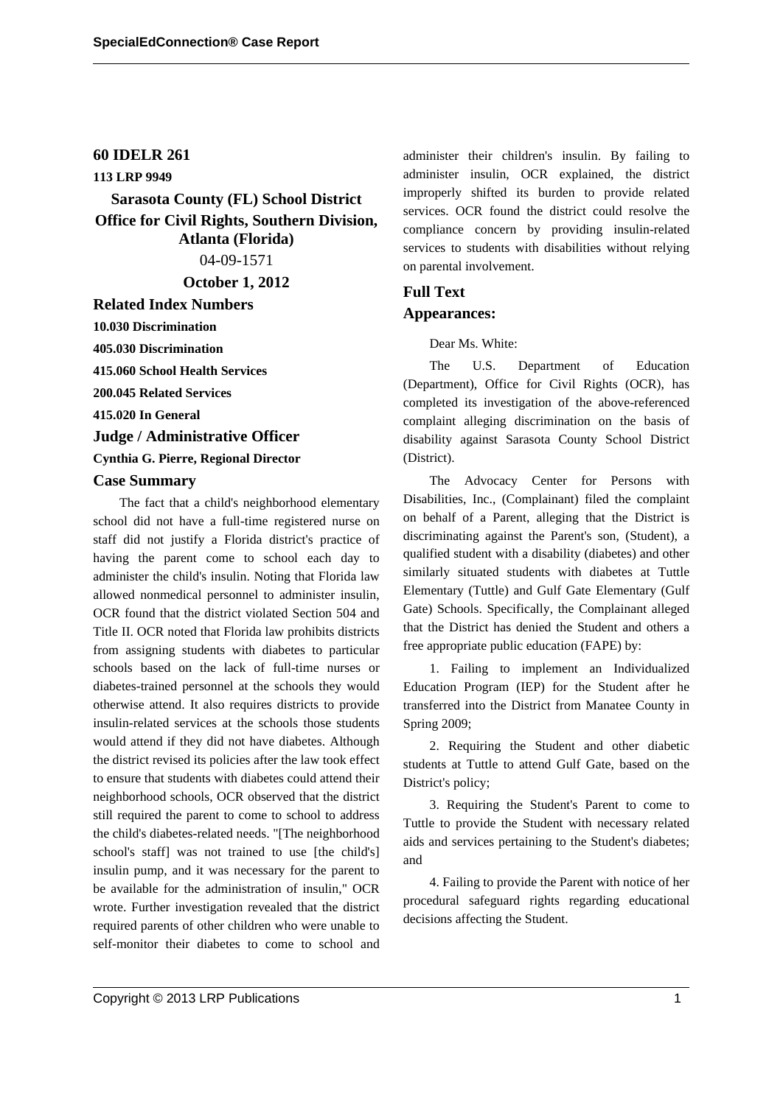## **60 IDELR 261**

## **113 LRP 9949**

**Sarasota County (FL) School District Office for Civil Rights, Southern Division, Atlanta (Florida)**

04-09-1571

**October 1, 2012**

**Related Index Numbers**

**10.030 Discrimination**

**405.030 Discrimination**

**415.060 School Health Services**

**200.045 Related Services**

**415.020 In General**

**Judge / Administrative Officer**

**Cynthia G. Pierre, Regional Director**

## **Case Summary**

The fact that a child's neighborhood elementary school did not have a full-time registered nurse on staff did not justify a Florida district's practice of having the parent come to school each day to administer the child's insulin. Noting that Florida law allowed nonmedical personnel to administer insulin, OCR found that the district violated Section 504 and Title II. OCR noted that Florida law prohibits districts from assigning students with diabetes to particular schools based on the lack of full-time nurses or diabetes-trained personnel at the schools they would otherwise attend. It also requires districts to provide insulin-related services at the schools those students would attend if they did not have diabetes. Although the district revised its policies after the law took effect to ensure that students with diabetes could attend their neighborhood schools, OCR observed that the district still required the parent to come to school to address the child's diabetes-related needs. "[The neighborhood school's staff] was not trained to use [the child's] insulin pump, and it was necessary for the parent to be available for the administration of insulin," OCR wrote. Further investigation revealed that the district required parents of other children who were unable to self-monitor their diabetes to come to school and

administer their children's insulin. By failing to administer insulin, OCR explained, the district improperly shifted its burden to provide related services. OCR found the district could resolve the compliance concern by providing insulin-related services to students with disabilities without relying on parental involvement.

## **Full Text**

#### **Appearances:**

Dear Ms. White:

The U.S. Department of Education (Department), Office for Civil Rights (OCR), has completed its investigation of the above-referenced complaint alleging discrimination on the basis of disability against Sarasota County School District (District).

The Advocacy Center for Persons with Disabilities, Inc., (Complainant) filed the complaint on behalf of a Parent, alleging that the District is discriminating against the Parent's son, (Student), a qualified student with a disability (diabetes) and other similarly situated students with diabetes at Tuttle Elementary (Tuttle) and Gulf Gate Elementary (Gulf Gate) Schools. Specifically, the Complainant alleged that the District has denied the Student and others a free appropriate public education (FAPE) by:

1. Failing to implement an Individualized Education Program (IEP) for the Student after he transferred into the District from Manatee County in Spring 2009;

2. Requiring the Student and other diabetic students at Tuttle to attend Gulf Gate, based on the District's policy;

3. Requiring the Student's Parent to come to Tuttle to provide the Student with necessary related aids and services pertaining to the Student's diabetes; and

4. Failing to provide the Parent with notice of her procedural safeguard rights regarding educational decisions affecting the Student.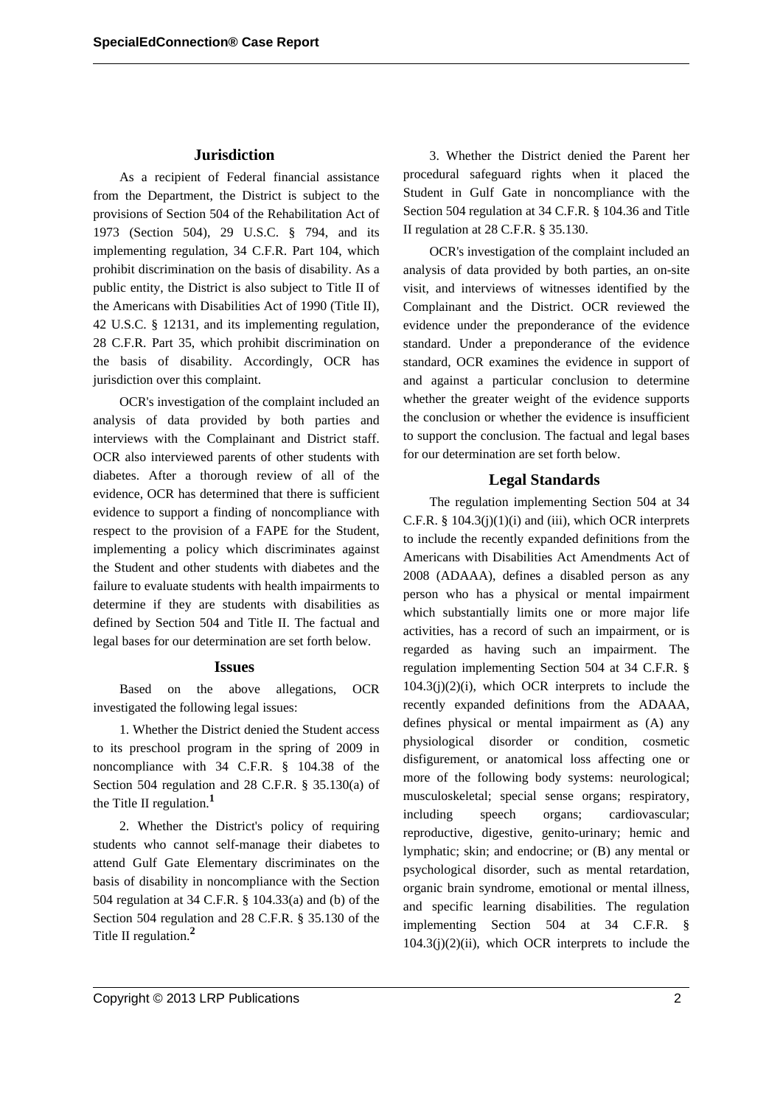## **Jurisdiction**

As a recipient of Federal financial assistance from the Department, the District is subject to the provisions of Section 504 of the Rehabilitation Act of 1973 (Section 504), 29 U.S.C. § 794, and its implementing regulation, 34 C.F.R. Part 104, which prohibit discrimination on the basis of disability. As a public entity, the District is also subject to Title II of the Americans with Disabilities Act of 1990 (Title II), 42 U.S.C. § 12131, and its implementing regulation, 28 C.F.R. Part 35, which prohibit discrimination on the basis of disability. Accordingly, OCR has jurisdiction over this complaint.

OCR's investigation of the complaint included an analysis of data provided by both parties and interviews with the Complainant and District staff. OCR also interviewed parents of other students with diabetes. After a thorough review of all of the evidence, OCR has determined that there is sufficient evidence to support a finding of noncompliance with respect to the provision of a FAPE for the Student, implementing a policy which discriminates against the Student and other students with diabetes and the failure to evaluate students with health impairments to determine if they are students with disabilities as defined by Section 504 and Title II. The factual and legal bases for our determination are set forth below.

#### **Issues**

Based on the above allegations, OCR investigated the following legal issues:

1. Whether the District denied the Student access to its preschool program in the spring of 2009 in noncompliance with 34 C.F.R. § 104.38 of the Section 504 regulation and 28 C.F.R. § 35.130(a) of the Title II regulation.**<sup>1</sup>**

2. Whether the District's policy of requiring students who cannot self-manage their diabetes to attend Gulf Gate Elementary discriminates on the basis of disability in noncompliance with the Section 504 regulation at 34 C.F.R. § 104.33(a) and (b) of the Section 504 regulation and 28 C.F.R. § 35.130 of the Title II regulation.**<sup>2</sup>**

3. Whether the District denied the Parent her procedural safeguard rights when it placed the Student in Gulf Gate in noncompliance with the Section 504 regulation at 34 C.F.R. § 104.36 and Title II regulation at 28 C.F.R. § 35.130.

OCR's investigation of the complaint included an analysis of data provided by both parties, an on-site visit, and interviews of witnesses identified by the Complainant and the District. OCR reviewed the evidence under the preponderance of the evidence standard. Under a preponderance of the evidence standard, OCR examines the evidence in support of and against a particular conclusion to determine whether the greater weight of the evidence supports the conclusion or whether the evidence is insufficient to support the conclusion. The factual and legal bases for our determination are set forth below.

#### **Legal Standards**

The regulation implementing Section 504 at 34 C.F.R.  $§$  104.3(j)(1)(i) and (iii), which OCR interprets to include the recently expanded definitions from the Americans with Disabilities Act Amendments Act of 2008 (ADAAA), defines a disabled person as any person who has a physical or mental impairment which substantially limits one or more major life activities, has a record of such an impairment, or is regarded as having such an impairment. The regulation implementing Section 504 at 34 C.F.R. § 104.3(j)(2)(i), which OCR interprets to include the recently expanded definitions from the ADAAA, defines physical or mental impairment as (A) any physiological disorder or condition, cosmetic disfigurement, or anatomical loss affecting one or more of the following body systems: neurological; musculoskeletal; special sense organs; respiratory, including speech organs; cardiovascular; reproductive, digestive, genito-urinary; hemic and lymphatic; skin; and endocrine; or (B) any mental or psychological disorder, such as mental retardation, organic brain syndrome, emotional or mental illness, and specific learning disabilities. The regulation implementing Section 504 at 34 C.F.R. §  $104.3(j)(2)(ii)$ , which OCR interprets to include the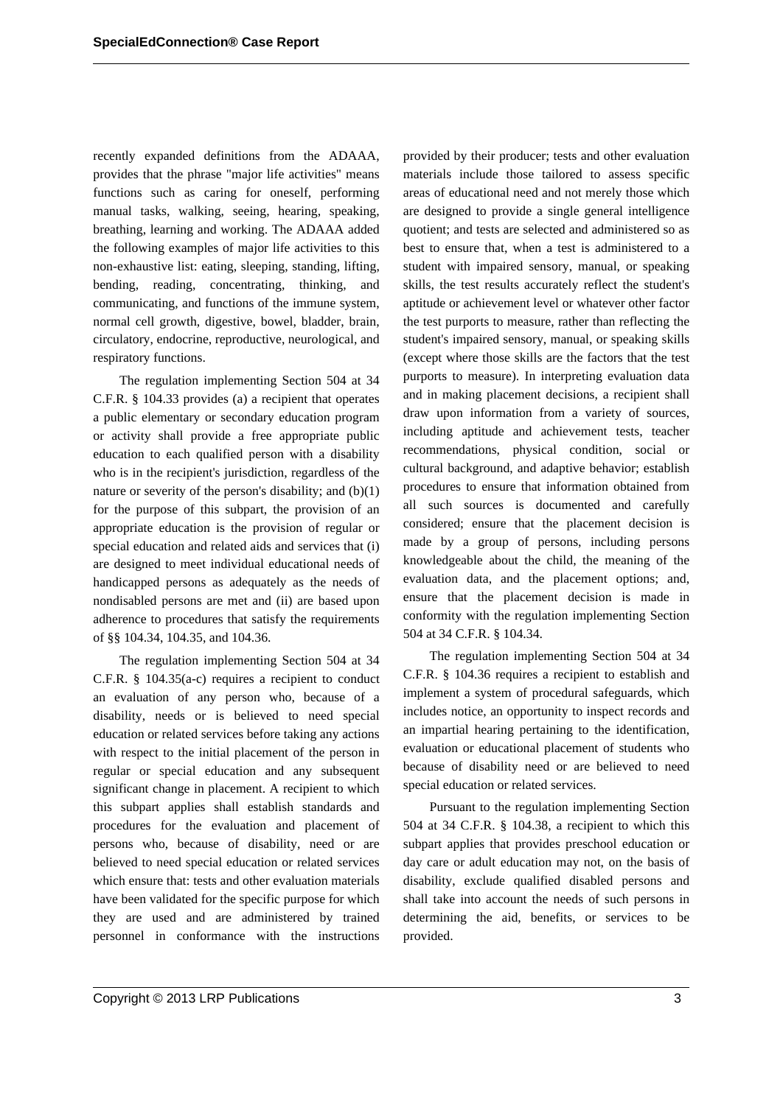recently expanded definitions from the ADAAA, provides that the phrase "major life activities" means functions such as caring for oneself, performing manual tasks, walking, seeing, hearing, speaking, breathing, learning and working. The ADAAA added the following examples of major life activities to this non-exhaustive list: eating, sleeping, standing, lifting, bending, reading, concentrating, thinking, and communicating, and functions of the immune system, normal cell growth, digestive, bowel, bladder, brain, circulatory, endocrine, reproductive, neurological, and respiratory functions.

The regulation implementing Section 504 at 34 C.F.R. § 104.33 provides (a) a recipient that operates a public elementary or secondary education program or activity shall provide a free appropriate public education to each qualified person with a disability who is in the recipient's jurisdiction, regardless of the nature or severity of the person's disability; and (b)(1) for the purpose of this subpart, the provision of an appropriate education is the provision of regular or special education and related aids and services that (i) are designed to meet individual educational needs of handicapped persons as adequately as the needs of nondisabled persons are met and (ii) are based upon adherence to procedures that satisfy the requirements of §§ 104.34, 104.35, and 104.36.

The regulation implementing Section 504 at 34 C.F.R. § 104.35(a-c) requires a recipient to conduct an evaluation of any person who, because of a disability, needs or is believed to need special education or related services before taking any actions with respect to the initial placement of the person in regular or special education and any subsequent significant change in placement. A recipient to which this subpart applies shall establish standards and procedures for the evaluation and placement of persons who, because of disability, need or are believed to need special education or related services which ensure that: tests and other evaluation materials have been validated for the specific purpose for which they are used and are administered by trained personnel in conformance with the instructions

provided by their producer; tests and other evaluation materials include those tailored to assess specific areas of educational need and not merely those which are designed to provide a single general intelligence quotient; and tests are selected and administered so as best to ensure that, when a test is administered to a student with impaired sensory, manual, or speaking skills, the test results accurately reflect the student's aptitude or achievement level or whatever other factor the test purports to measure, rather than reflecting the student's impaired sensory, manual, or speaking skills (except where those skills are the factors that the test purports to measure). In interpreting evaluation data and in making placement decisions, a recipient shall draw upon information from a variety of sources, including aptitude and achievement tests, teacher recommendations, physical condition, social or cultural background, and adaptive behavior; establish procedures to ensure that information obtained from all such sources is documented and carefully considered; ensure that the placement decision is made by a group of persons, including persons knowledgeable about the child, the meaning of the evaluation data, and the placement options; and, ensure that the placement decision is made in conformity with the regulation implementing Section 504 at 34 C.F.R. § 104.34.

The regulation implementing Section 504 at 34 C.F.R. § 104.36 requires a recipient to establish and implement a system of procedural safeguards, which includes notice, an opportunity to inspect records and an impartial hearing pertaining to the identification, evaluation or educational placement of students who because of disability need or are believed to need special education or related services.

Pursuant to the regulation implementing Section 504 at 34 C.F.R. § 104.38, a recipient to which this subpart applies that provides preschool education or day care or adult education may not, on the basis of disability, exclude qualified disabled persons and shall take into account the needs of such persons in determining the aid, benefits, or services to be provided.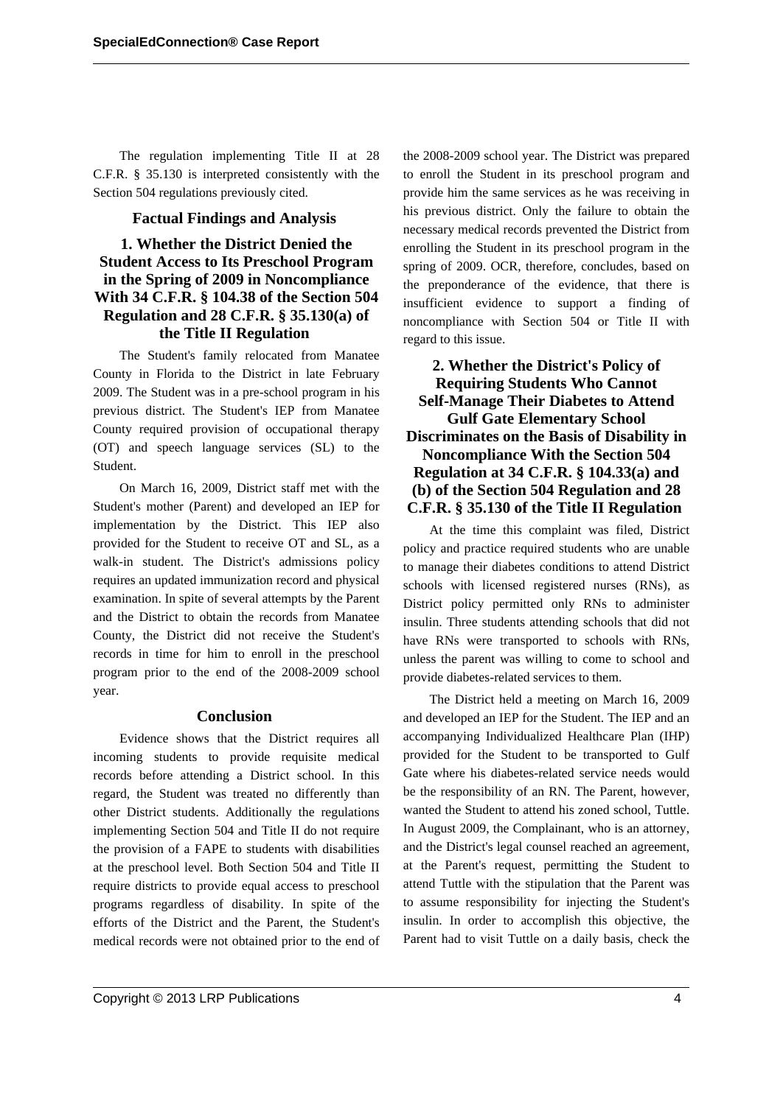The regulation implementing Title II at 28 C.F.R. § 35.130 is interpreted consistently with the Section 504 regulations previously cited.

## **Factual Findings and Analysis**

## **1. Whether the District Denied the Student Access to Its Preschool Program in the Spring of 2009 in Noncompliance With 34 C.F.R. § 104.38 of the Section 504 Regulation and 28 C.F.R. § 35.130(a) of the Title II Regulation**

The Student's family relocated from Manatee County in Florida to the District in late February 2009. The Student was in a pre-school program in his previous district. The Student's IEP from Manatee County required provision of occupational therapy (OT) and speech language services (SL) to the Student.

On March 16, 2009, District staff met with the Student's mother (Parent) and developed an IEP for implementation by the District. This IEP also provided for the Student to receive OT and SL, as a walk-in student. The District's admissions policy requires an updated immunization record and physical examination. In spite of several attempts by the Parent and the District to obtain the records from Manatee County, the District did not receive the Student's records in time for him to enroll in the preschool program prior to the end of the 2008-2009 school year.

#### **Conclusion**

Evidence shows that the District requires all incoming students to provide requisite medical records before attending a District school. In this regard, the Student was treated no differently than other District students. Additionally the regulations implementing Section 504 and Title II do not require the provision of a FAPE to students with disabilities at the preschool level. Both Section 504 and Title II require districts to provide equal access to preschool programs regardless of disability. In spite of the efforts of the District and the Parent, the Student's medical records were not obtained prior to the end of the 2008-2009 school year. The District was prepared to enroll the Student in its preschool program and provide him the same services as he was receiving in his previous district. Only the failure to obtain the necessary medical records prevented the District from enrolling the Student in its preschool program in the spring of 2009. OCR, therefore, concludes, based on the preponderance of the evidence, that there is insufficient evidence to support a finding of noncompliance with Section 504 or Title II with regard to this issue.

# **2. Whether the District's Policy of Requiring Students Who Cannot Self-Manage Their Diabetes to Attend Gulf Gate Elementary School Discriminates on the Basis of Disability in Noncompliance With the Section 504 Regulation at 34 C.F.R. § 104.33(a) and (b) of the Section 504 Regulation and 28 C.F.R. § 35.130 of the Title II Regulation**

At the time this complaint was filed, District policy and practice required students who are unable to manage their diabetes conditions to attend District schools with licensed registered nurses (RNs), as District policy permitted only RNs to administer insulin. Three students attending schools that did not have RNs were transported to schools with RNs, unless the parent was willing to come to school and provide diabetes-related services to them.

The District held a meeting on March 16, 2009 and developed an IEP for the Student. The IEP and an accompanying Individualized Healthcare Plan (IHP) provided for the Student to be transported to Gulf Gate where his diabetes-related service needs would be the responsibility of an RN. The Parent, however, wanted the Student to attend his zoned school, Tuttle. In August 2009, the Complainant, who is an attorney, and the District's legal counsel reached an agreement, at the Parent's request, permitting the Student to attend Tuttle with the stipulation that the Parent was to assume responsibility for injecting the Student's insulin. In order to accomplish this objective, the Parent had to visit Tuttle on a daily basis, check the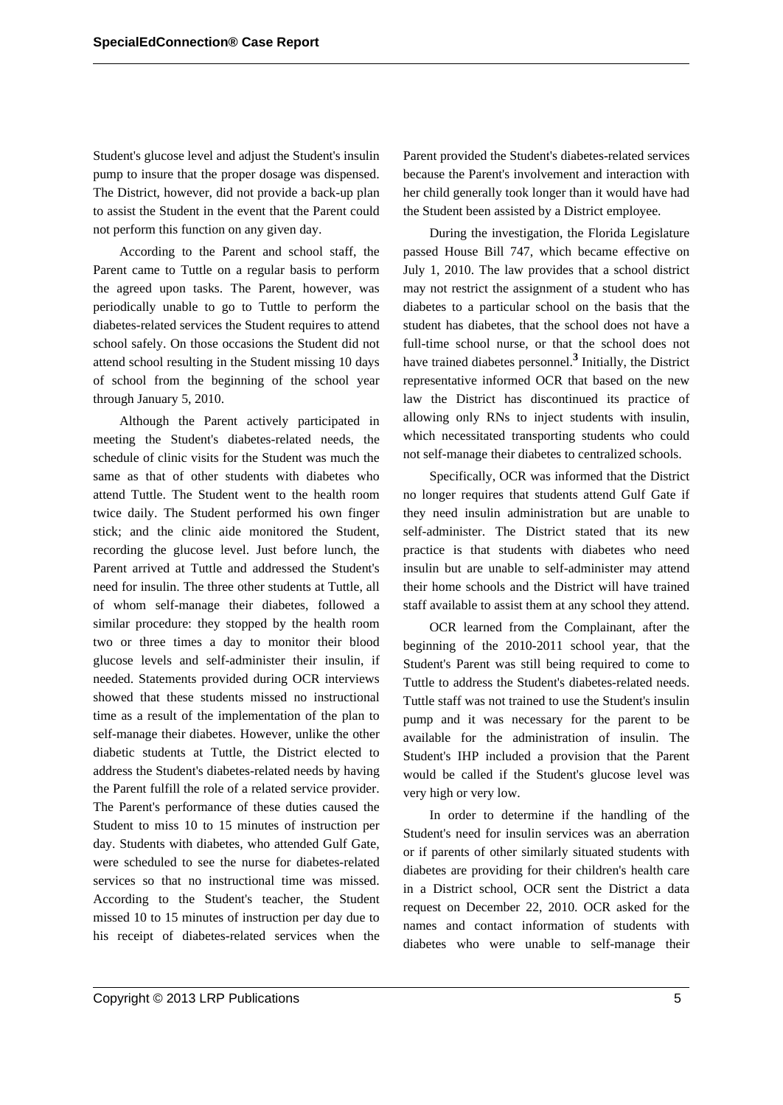Student's glucose level and adjust the Student's insulin pump to insure that the proper dosage was dispensed. The District, however, did not provide a back-up plan to assist the Student in the event that the Parent could not perform this function on any given day.

According to the Parent and school staff, the Parent came to Tuttle on a regular basis to perform the agreed upon tasks. The Parent, however, was periodically unable to go to Tuttle to perform the diabetes-related services the Student requires to attend school safely. On those occasions the Student did not attend school resulting in the Student missing 10 days of school from the beginning of the school year through January 5, 2010.

Although the Parent actively participated in meeting the Student's diabetes-related needs, the schedule of clinic visits for the Student was much the same as that of other students with diabetes who attend Tuttle. The Student went to the health room twice daily. The Student performed his own finger stick; and the clinic aide monitored the Student, recording the glucose level. Just before lunch, the Parent arrived at Tuttle and addressed the Student's need for insulin. The three other students at Tuttle, all of whom self-manage their diabetes, followed a similar procedure: they stopped by the health room two or three times a day to monitor their blood glucose levels and self-administer their insulin, if needed. Statements provided during OCR interviews showed that these students missed no instructional time as a result of the implementation of the plan to self-manage their diabetes. However, unlike the other diabetic students at Tuttle, the District elected to address the Student's diabetes-related needs by having the Parent fulfill the role of a related service provider. The Parent's performance of these duties caused the Student to miss 10 to 15 minutes of instruction per day. Students with diabetes, who attended Gulf Gate, were scheduled to see the nurse for diabetes-related services so that no instructional time was missed. According to the Student's teacher, the Student missed 10 to 15 minutes of instruction per day due to his receipt of diabetes-related services when the Parent provided the Student's diabetes-related services because the Parent's involvement and interaction with her child generally took longer than it would have had the Student been assisted by a District employee.

During the investigation, the Florida Legislature passed House Bill 747, which became effective on July 1, 2010. The law provides that a school district may not restrict the assignment of a student who has diabetes to a particular school on the basis that the student has diabetes, that the school does not have a full-time school nurse, or that the school does not have trained diabetes personnel.**<sup>3</sup>** Initially, the District representative informed OCR that based on the new law the District has discontinued its practice of allowing only RNs to inject students with insulin, which necessitated transporting students who could not self-manage their diabetes to centralized schools.

Specifically, OCR was informed that the District no longer requires that students attend Gulf Gate if they need insulin administration but are unable to self-administer. The District stated that its new practice is that students with diabetes who need insulin but are unable to self-administer may attend their home schools and the District will have trained staff available to assist them at any school they attend.

OCR learned from the Complainant, after the beginning of the 2010-2011 school year, that the Student's Parent was still being required to come to Tuttle to address the Student's diabetes-related needs. Tuttle staff was not trained to use the Student's insulin pump and it was necessary for the parent to be available for the administration of insulin. The Student's IHP included a provision that the Parent would be called if the Student's glucose level was very high or very low.

In order to determine if the handling of the Student's need for insulin services was an aberration or if parents of other similarly situated students with diabetes are providing for their children's health care in a District school, OCR sent the District a data request on December 22, 2010. OCR asked for the names and contact information of students with diabetes who were unable to self-manage their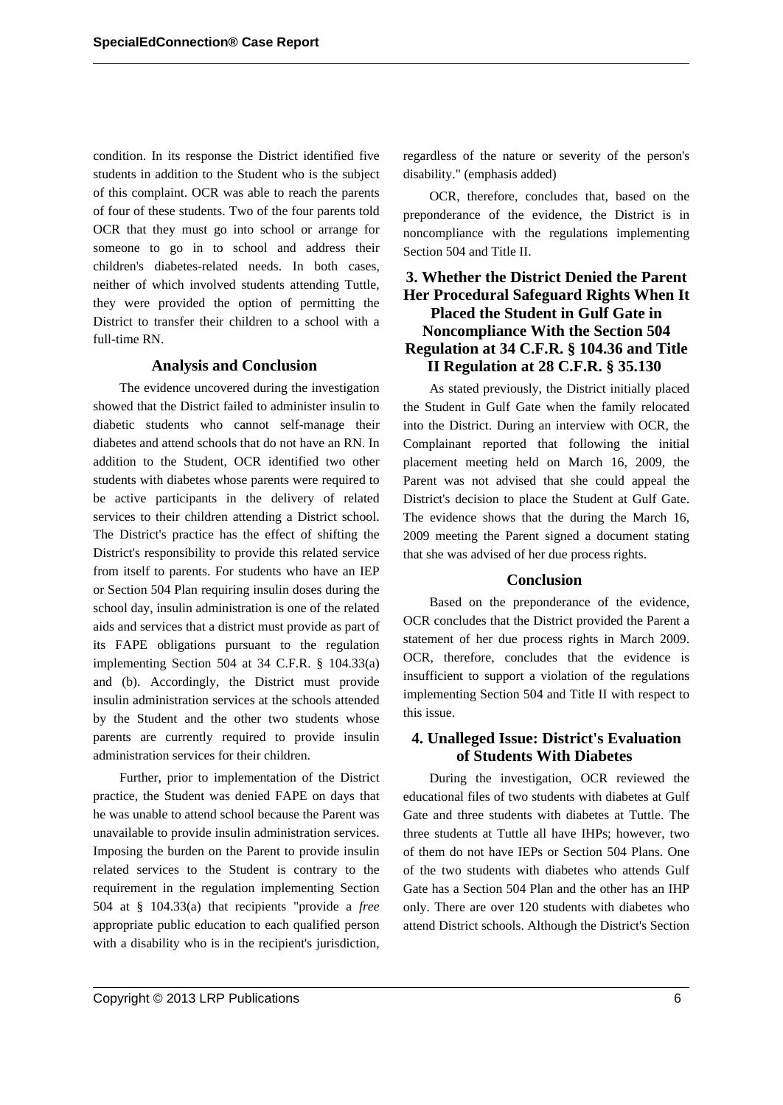condition. In its response the District identified five students in addition to the Student who is the subject of this complaint. OCR was able to reach the parents of four of these students. Two of the four parents told OCR that they must go into school or arrange for someone to go in to school and address their children's diabetes-related needs. In both cases, neither of which involved students attending Tuttle, they were provided the option of permitting the District to transfer their children to a school with a full-time RN.

#### **Analysis and Conclusion**

The evidence uncovered during the investigation showed that the District failed to administer insulin to diabetic students who cannot self-manage their diabetes and attend schools that do not have an RN. In addition to the Student, OCR identified two other students with diabetes whose parents were required to be active participants in the delivery of related services to their children attending a District school. The District's practice has the effect of shifting the District's responsibility to provide this related service from itself to parents. For students who have an IEP or Section 504 Plan requiring insulin doses during the school day, insulin administration is one of the related aids and services that a district must provide as part of its FAPE obligations pursuant to the regulation implementing Section 504 at 34 C.F.R. § 104.33(a) and (b). Accordingly, the District must provide insulin administration services at the schools attended by the Student and the other two students whose parents are currently required to provide insulin administration services for their children.

Further, prior to implementation of the District practice, the Student was denied FAPE on days that he was unable to attend school because the Parent was unavailable to provide insulin administration services. Imposing the burden on the Parent to provide insulin related services to the Student is contrary to the requirement in the regulation implementing Section 504 at § 104.33(a) that recipients "provide a *free* appropriate public education to each qualified person with a disability who is in the recipient's jurisdiction, regardless of the nature or severity of the person's disability." (emphasis added)

OCR, therefore, concludes that, based on the preponderance of the evidence, the District is in noncompliance with the regulations implementing Section 504 and Title II.

## **3. Whether the District Denied the Parent Her Procedural Safeguard Rights When It Placed the Student in Gulf Gate in Noncompliance With the Section 504 Regulation at 34 C.F.R. § 104.36 and Title II Regulation at 28 C.F.R. § 35.130**

As stated previously, the District initially placed the Student in Gulf Gate when the family relocated into the District. During an interview with OCR, the Complainant reported that following the initial placement meeting held on March 16, 2009, the Parent was not advised that she could appeal the District's decision to place the Student at Gulf Gate. The evidence shows that the during the March 16, 2009 meeting the Parent signed a document stating that she was advised of her due process rights.

#### **Conclusion**

Based on the preponderance of the evidence, OCR concludes that the District provided the Parent a statement of her due process rights in March 2009. OCR, therefore, concludes that the evidence is insufficient to support a violation of the regulations implementing Section 504 and Title II with respect to this issue.

## **4. Unalleged Issue: District's Evaluation of Students With Diabetes**

During the investigation, OCR reviewed the educational files of two students with diabetes at Gulf Gate and three students with diabetes at Tuttle. The three students at Tuttle all have IHPs; however, two of them do not have IEPs or Section 504 Plans. One of the two students with diabetes who attends Gulf Gate has a Section 504 Plan and the other has an IHP only. There are over 120 students with diabetes who attend District schools. Although the District's Section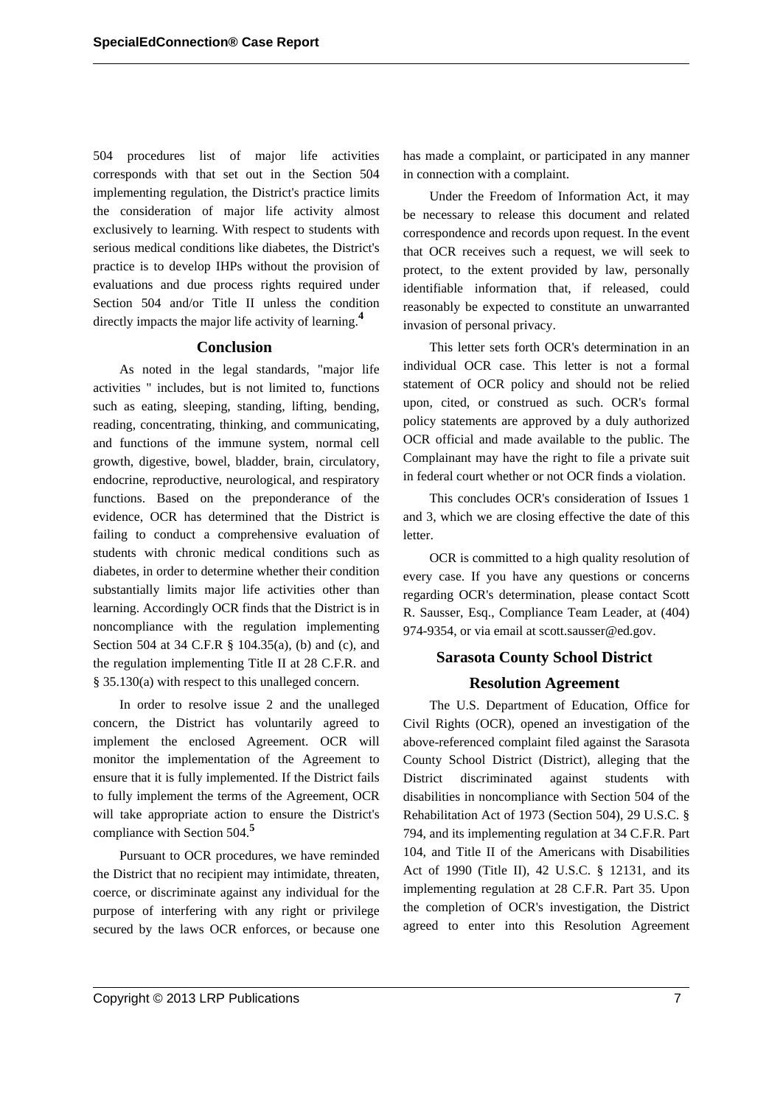504 procedures list of major life activities corresponds with that set out in the Section 504 implementing regulation, the District's practice limits the consideration of major life activity almost exclusively to learning. With respect to students with serious medical conditions like diabetes, the District's practice is to develop IHPs without the provision of evaluations and due process rights required under Section 504 and/or Title II unless the condition directly impacts the major life activity of learning.**<sup>4</sup>**

## **Conclusion**

As noted in the legal standards, "major life activities " includes, but is not limited to, functions such as eating, sleeping, standing, lifting, bending, reading, concentrating, thinking, and communicating, and functions of the immune system, normal cell growth, digestive, bowel, bladder, brain, circulatory, endocrine, reproductive, neurological, and respiratory functions. Based on the preponderance of the evidence, OCR has determined that the District is failing to conduct a comprehensive evaluation of students with chronic medical conditions such as diabetes, in order to determine whether their condition substantially limits major life activities other than learning. Accordingly OCR finds that the District is in noncompliance with the regulation implementing Section 504 at 34 C.F.R § 104.35(a), (b) and (c), and the regulation implementing Title II at 28 C.F.R. and § 35.130(a) with respect to this unalleged concern.

In order to resolve issue 2 and the unalleged concern, the District has voluntarily agreed to implement the enclosed Agreement. OCR will monitor the implementation of the Agreement to ensure that it is fully implemented. If the District fails to fully implement the terms of the Agreement, OCR will take appropriate action to ensure the District's compliance with Section 504.**<sup>5</sup>**

Pursuant to OCR procedures, we have reminded the District that no recipient may intimidate, threaten, coerce, or discriminate against any individual for the purpose of interfering with any right or privilege secured by the laws OCR enforces, or because one has made a complaint, or participated in any manner in connection with a complaint.

Under the Freedom of Information Act, it may be necessary to release this document and related correspondence and records upon request. In the event that OCR receives such a request, we will seek to protect, to the extent provided by law, personally identifiable information that, if released, could reasonably be expected to constitute an unwarranted invasion of personal privacy.

This letter sets forth OCR's determination in an individual OCR case. This letter is not a formal statement of OCR policy and should not be relied upon, cited, or construed as such. OCR's formal policy statements are approved by a duly authorized OCR official and made available to the public. The Complainant may have the right to file a private suit in federal court whether or not OCR finds a violation.

This concludes OCR's consideration of Issues 1 and 3, which we are closing effective the date of this letter.

OCR is committed to a high quality resolution of every case. If you have any questions or concerns regarding OCR's determination, please contact Scott R. Sausser, Esq., Compliance Team Leader, at (404) 974-9354, or via email at scott.sausser@ed.gov.

# **Sarasota County School District Resolution Agreement**

The U.S. Department of Education, Office for Civil Rights (OCR), opened an investigation of the above-referenced complaint filed against the Sarasota County School District (District), alleging that the District discriminated against students with disabilities in noncompliance with Section 504 of the Rehabilitation Act of 1973 (Section 504), 29 U.S.C. § 794, and its implementing regulation at 34 C.F.R. Part 104, and Title II of the Americans with Disabilities Act of 1990 (Title II), 42 U.S.C. § 12131, and its implementing regulation at 28 C.F.R. Part 35. Upon the completion of OCR's investigation, the District agreed to enter into this Resolution Agreement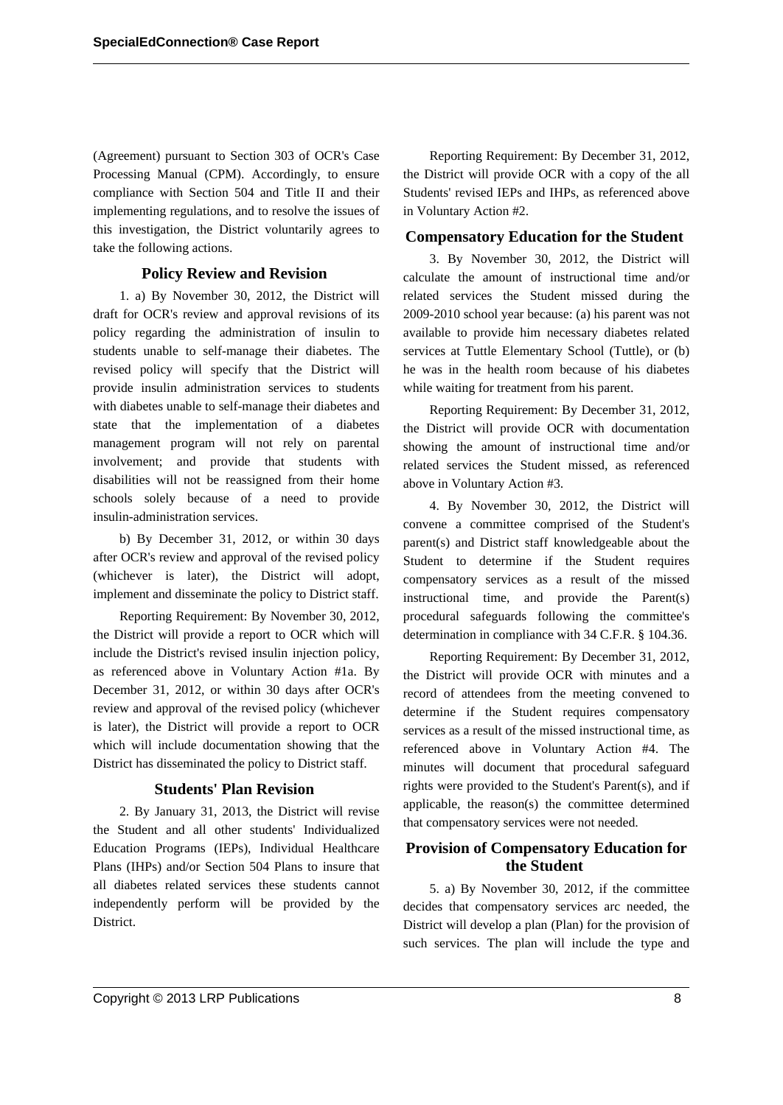(Agreement) pursuant to Section 303 of OCR's Case Processing Manual (CPM). Accordingly, to ensure compliance with Section 504 and Title II and their implementing regulations, and to resolve the issues of this investigation, the District voluntarily agrees to take the following actions.

#### **Policy Review and Revision**

1. a) By November 30, 2012, the District will draft for OCR's review and approval revisions of its policy regarding the administration of insulin to students unable to self-manage their diabetes. The revised policy will specify that the District will provide insulin administration services to students with diabetes unable to self-manage their diabetes and state that the implementation of a diabetes management program will not rely on parental involvement; and provide that students with disabilities will not be reassigned from their home schools solely because of a need to provide insulin-administration services.

b) By December 31, 2012, or within 30 days after OCR's review and approval of the revised policy (whichever is later), the District will adopt, implement and disseminate the policy to District staff.

Reporting Requirement: By November 30, 2012, the District will provide a report to OCR which will include the District's revised insulin injection policy, as referenced above in Voluntary Action #1a. By December 31, 2012, or within 30 days after OCR's review and approval of the revised policy (whichever is later), the District will provide a report to OCR which will include documentation showing that the District has disseminated the policy to District staff.

## **Students' Plan Revision**

2. By January 31, 2013, the District will revise the Student and all other students' Individualized Education Programs (IEPs), Individual Healthcare Plans (IHPs) and/or Section 504 Plans to insure that all diabetes related services these students cannot independently perform will be provided by the District.

Reporting Requirement: By December 31, 2012, the District will provide OCR with a copy of the all Students' revised IEPs and IHPs, as referenced above in Voluntary Action #2.

## **Compensatory Education for the Student**

3. By November 30, 2012, the District will calculate the amount of instructional time and/or related services the Student missed during the 2009-2010 school year because: (a) his parent was not available to provide him necessary diabetes related services at Tuttle Elementary School (Tuttle), or (b) he was in the health room because of his diabetes while waiting for treatment from his parent.

Reporting Requirement: By December 31, 2012, the District will provide OCR with documentation showing the amount of instructional time and/or related services the Student missed, as referenced above in Voluntary Action #3.

4. By November 30, 2012, the District will convene a committee comprised of the Student's parent(s) and District staff knowledgeable about the Student to determine if the Student requires compensatory services as a result of the missed instructional time, and provide the Parent(s) procedural safeguards following the committee's determination in compliance with 34 C.F.R. § 104.36.

Reporting Requirement: By December 31, 2012, the District will provide OCR with minutes and a record of attendees from the meeting convened to determine if the Student requires compensatory services as a result of the missed instructional time, as referenced above in Voluntary Action #4. The minutes will document that procedural safeguard rights were provided to the Student's Parent(s), and if applicable, the reason(s) the committee determined that compensatory services were not needed.

## **Provision of Compensatory Education for the Student**

5. a) By November 30, 2012, if the committee decides that compensatory services arc needed, the District will develop a plan (Plan) for the provision of such services. The plan will include the type and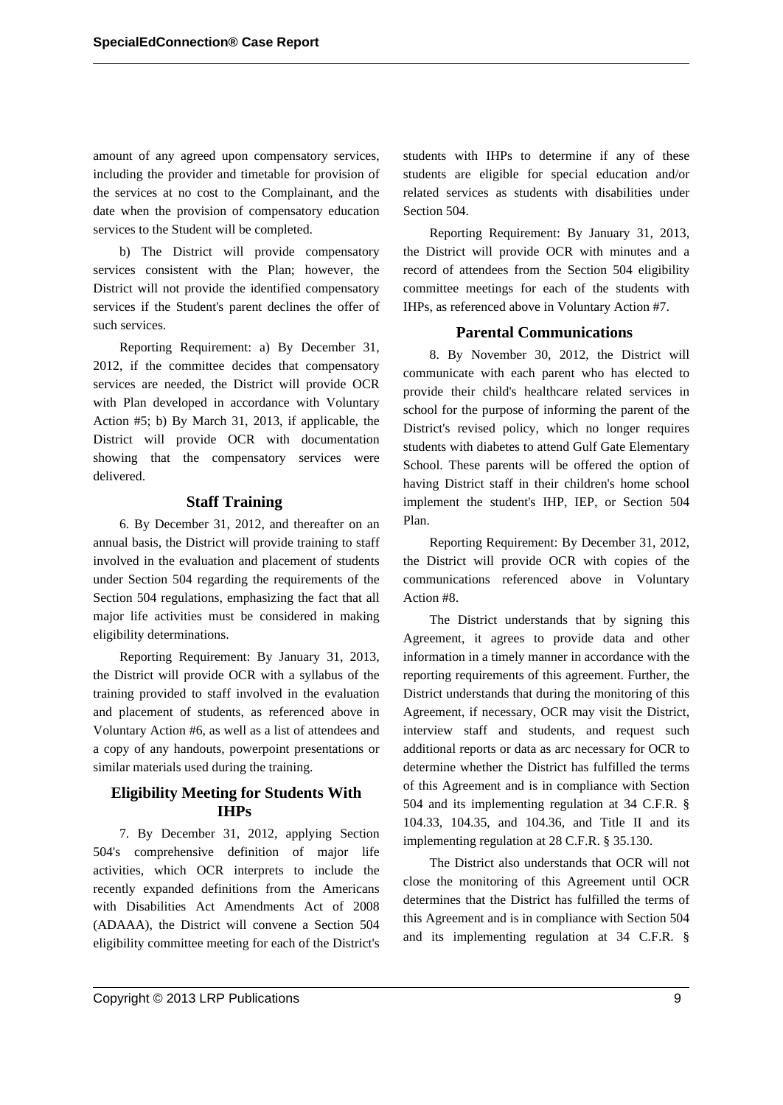amount of any agreed upon compensatory services, including the provider and timetable for provision of the services at no cost to the Complainant, and the date when the provision of compensatory education services to the Student will be completed.

b) The District will provide compensatory services consistent with the Plan; however, the District will not provide the identified compensatory services if the Student's parent declines the offer of such services.

Reporting Requirement: a) By December 31, 2012, if the committee decides that compensatory services are needed, the District will provide OCR with Plan developed in accordance with Voluntary Action #5; b) By March 31, 2013, if applicable, the District will provide OCR with documentation showing that the compensatory services were delivered.

## **Staff Training**

6. By December 31, 2012, and thereafter on an annual basis, the District will provide training to staff involved in the evaluation and placement of students under Section 504 regarding the requirements of the Section 504 regulations, emphasizing the fact that all major life activities must be considered in making eligibility determinations.

Reporting Requirement: By January 31, 2013, the District will provide OCR with a syllabus of the training provided to staff involved in the evaluation and placement of students, as referenced above in Voluntary Action #6, as well as a list of attendees and a copy of any handouts, powerpoint presentations or similar materials used during the training.

## **Eligibility Meeting for Students With IHPs**

7. By December 31, 2012, applying Section 504's comprehensive definition of major life activities, which OCR interprets to include the recently expanded definitions from the Americans with Disabilities Act Amendments Act of 2008 (ADAAA), the District will convene a Section 504 eligibility committee meeting for each of the District's students with IHPs to determine if any of these students are eligible for special education and/or related services as students with disabilities under Section 504.

Reporting Requirement: By January 31, 2013, the District will provide OCR with minutes and a record of attendees from the Section 504 eligibility committee meetings for each of the students with IHPs, as referenced above in Voluntary Action #7.

#### **Parental Communications**

8. By November 30, 2012, the District will communicate with each parent who has elected to provide their child's healthcare related services in school for the purpose of informing the parent of the District's revised policy, which no longer requires students with diabetes to attend Gulf Gate Elementary School. These parents will be offered the option of having District staff in their children's home school implement the student's IHP, IEP, or Section 504 Plan.

Reporting Requirement: By December 31, 2012, the District will provide OCR with copies of the communications referenced above in Voluntary Action #8.

The District understands that by signing this Agreement, it agrees to provide data and other information in a timely manner in accordance with the reporting requirements of this agreement. Further, the District understands that during the monitoring of this Agreement, if necessary, OCR may visit the District, interview staff and students, and request such additional reports or data as arc necessary for OCR to determine whether the District has fulfilled the terms of this Agreement and is in compliance with Section 504 and its implementing regulation at 34 C.F.R. § 104.33, 104.35, and 104.36, and Title II and its implementing regulation at 28 C.F.R. § 35.130.

The District also understands that OCR will not close the monitoring of this Agreement until OCR determines that the District has fulfilled the terms of this Agreement and is in compliance with Section 504 and its implementing regulation at 34 C.F.R. §